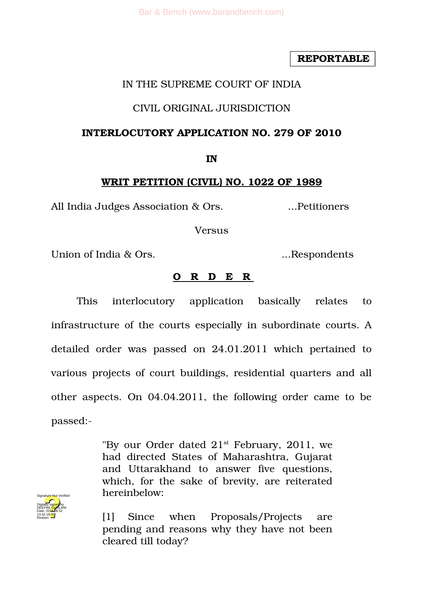**REPORTABLE**

## IN THE SUPREME COURT OF INDIA

### CIVIL ORIGINAL JURISDICTION

#### **INTERLOCUTORY APPLICATION NO. 279 OF 2010**

**IN**

#### **WRIT PETITION (CIVIL) NO. 1022 OF 1989**

All India Judges Association & Ors. 2016. The electronic services and the Manuscritt Contractors and Manuscritt

Versus

Union of India & Ors. ...Respondents

### **O R D E R**

This interlocutory application basically relates to infrastructure of the courts especially in subordinate courts. A detailed order was passed on 24.01.2011 which pertained to various projects of court buildings, residential quarters and all other aspects. On 04.04.2011, the following order came to be passed:

> "By our Order dated  $21<sup>st</sup>$  February, 2011, we had directed States of Maharashtra, Gujarat and Uttarakhand to answer five questions, which, for the sake of brevity, are reiterated hereinbelow:



[1] Since when Proposals/Projects are pending and reasons why they have not been cleared till today?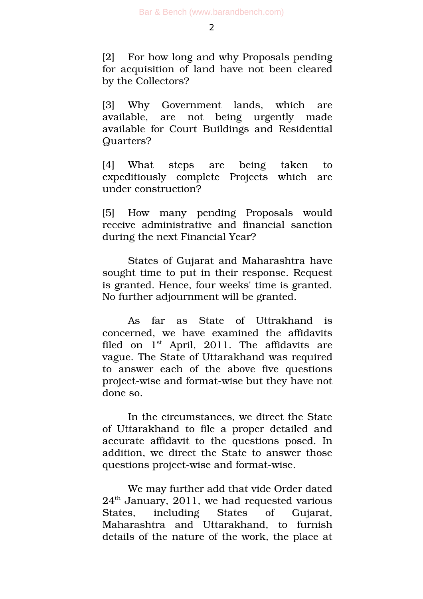[2] For how long and why Proposals pending for acquisition of land have not been cleared by the Collectors?

[3] Why Government lands, which are available, are not being urgently made available for Court Buildings and Residential Quarters?

[4] What steps are being taken to expeditiously complete Projects which are under construction?

[5] How many pending Proposals would receive administrative and financial sanction during the next Financial Year?

States of Gujarat and Maharashtra have sought time to put in their response. Request is granted. Hence, four weeks' time is granted. No further adjournment will be granted.

As far as State of Uttrakhand is concerned, we have examined the affidavits filed on  $1<sup>st</sup>$  April, 2011. The affidavits are vague. The State of Uttarakhand was required to answer each of the above five questions project-wise and format-wise but they have not done so.

In the circumstances, we direct the State of Uttarakhand to file a proper detailed and accurate affidavit to the questions posed. In addition, we direct the State to answer those questions project-wise and format-wise.

We may further add that vide Order dated  $24<sup>th</sup>$  January, 2011, we had requested various States, including States of Gujarat, Maharashtra and Uttarakhand, to furnish details of the nature of the work, the place at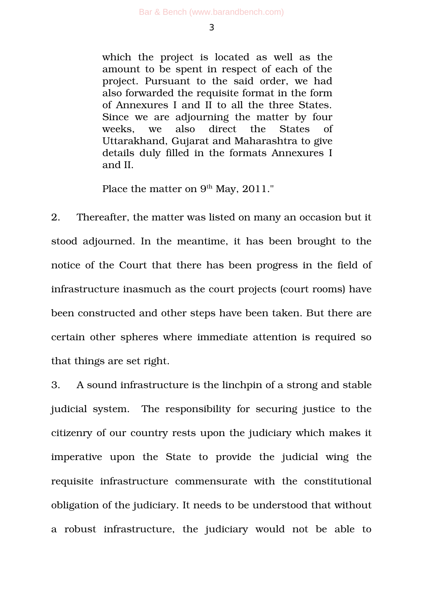which the project is located as well as the amount to be spent in respect of each of the project. Pursuant to the said order, we had also forwarded the requisite format in the form of Annexures I and II to all the three States. Since we are adjourning the matter by four weeks, we also direct the States of Uttarakhand, Gujarat and Maharashtra to give details duly filled in the formats Annexures I and II.

Place the matter on 9<sup>th</sup> May, 2011."

2. Thereafter, the matter was listed on many an occasion but it stood adjourned. In the meantime, it has been brought to the notice of the Court that there has been progress in the field of infrastructure inasmuch as the court projects (court rooms) have been constructed and other steps have been taken. But there are certain other spheres where immediate attention is required so that things are set right.

3. A sound infrastructure is the linchpin of a strong and stable judicial system. The responsibility for securing justice to the citizenry of our country rests upon the judiciary which makes it imperative upon the State to provide the judicial wing the requisite infrastructure commensurate with the constitutional obligation of the judiciary. It needs to be understood that without a robust infrastructure, the judiciary would not be able to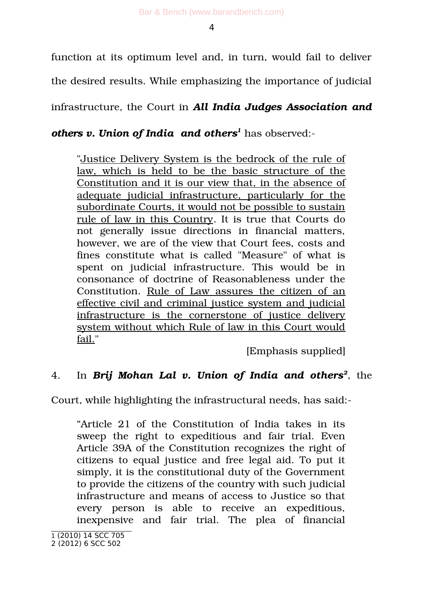Bar & Bench (www.barandbench.com)

4

function at its optimum level and, in turn, would fail to deliver

the desired results. While emphasizing the importance of judicial

infrastructure, the Court in *All India Judges Association and*

*others v. Union of India and others[1](#page-3-0)* has observed:

"Justice Delivery System is the bedrock of the rule of law, which is held to be the basic structure of the Constitution and it is our view that, in the absence of adequate judicial infrastructure, particularly for the subordinate Courts, it would not be possible to sustain rule of law in this Country. It is true that Courts do not generally issue directions in financial matters, however, we are of the view that Court fees, costs and fines constitute what is called "Measure" of what is spent on judicial infrastructure. This would be in consonance of doctrine of Reasonableness under the Constitution. Rule of Law assures the citizen of an effective civil and criminal justice system and judicial infrastructure is the cornerstone of justice delivery system without which Rule of law in this Court would fail."

[Emphasis supplied]

# 4. In *Brij Mohan Lal v. Union of India and others[2](#page-3-1)* , the

Court, while highlighting the infrastructural needs, has said:

"Article 21 of the Constitution of India takes in its sweep the right to expeditious and fair trial. Even Article 39A of the Constitution recognizes the right of citizens to equal justice and free legal aid. To put it simply, it is the constitutional duty of the Government to provide the citizens of the country with such judicial infrastructure and means of access to Justice so that every person is able to receive an expeditious, inexpensive and fair trial. The plea of financial

<span id="page-3-0"></span><sup>1</sup> (2010) 14 SCC 705

<span id="page-3-1"></span><sup>2 (2012) 6</sup> SCC 502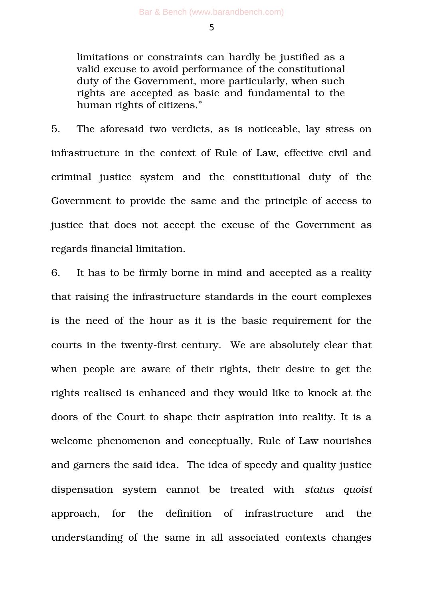limitations or constraints can hardly be justified as a valid excuse to avoid performance of the constitutional duty of the Government, more particularly, when such rights are accepted as basic and fundamental to the human rights of citizens."

5. The aforesaid two verdicts, as is noticeable, lay stress on infrastructure in the context of Rule of Law, effective civil and criminal justice system and the constitutional duty of the Government to provide the same and the principle of access to justice that does not accept the excuse of the Government as regards financial limitation.

6. It has to be firmly borne in mind and accepted as a reality that raising the infrastructure standards in the court complexes is the need of the hour as it is the basic requirement for the courts in the twenty-first century. We are absolutely clear that when people are aware of their rights, their desire to get the rights realised is enhanced and they would like to knock at the doors of the Court to shape their aspiration into reality. It is a welcome phenomenon and conceptually, Rule of Law nourishes and garners the said idea.The idea of speedy and quality justice dispensation system cannot be treated with *status quoist* approach, for the definition of infrastructure and the understanding of the same in all associated contexts changes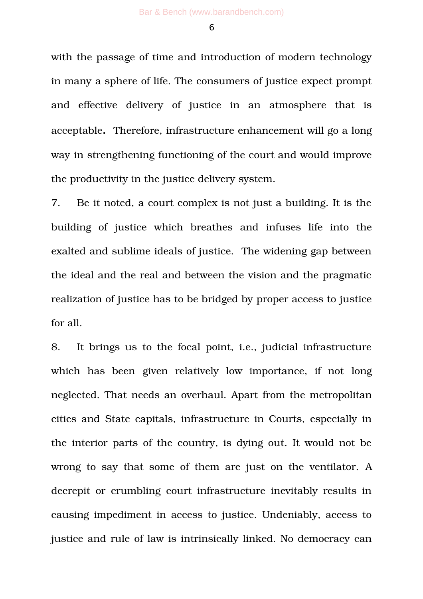with the passage of time and introduction of modern technology in many a sphere of life. The consumers of justice expect prompt and effective delivery of justice in an atmosphere that is acceptable**.** Therefore, infrastructure enhancement will go a long way in strengthening functioning of the court and would improve the productivity in the justice delivery system.

7. Be it noted, a court complex is not just a building. It is the building of justice which breathes and infuses life into the exalted and sublime ideals of justice. The widening gap between the ideal and the real and between the vision and the pragmatic realization of justice has to be bridged by proper access to justice for all.

8. It brings us to the focal point, i.e., judicial infrastructure which has been given relatively low importance, if not long neglected. That needs an overhaul. Apart from the metropolitan cities and State capitals, infrastructure in Courts, especially in the interior parts of the country, is dying out. It would not be wrong to say that some of them are just on the ventilator. A decrepit or crumbling court infrastructure inevitably results in causing impediment in access to justice. Undeniably, access to justice and rule of law is intrinsically linked. No democracy can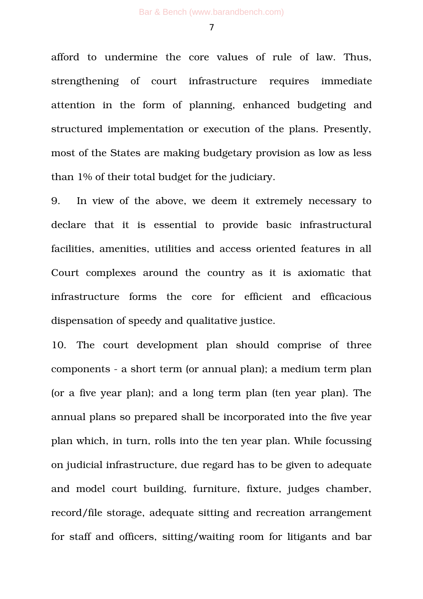afford to undermine the core values of rule of law. Thus, strengthening of court infrastructure requires immediate attention in the form of planning, enhanced budgeting and structured implementation or execution of the plans. Presently, most of the States are making budgetary provision as low as less than 1% of their total budget for the judiciary.

9. In view of the above, we deem it extremely necessary to declare that it is essential to provide basic infrastructural facilities, amenities, utilities and access oriented features in all Court complexes around the country as it is axiomatic that infrastructure forms the core for efficient and efficacious dispensation of speedy and qualitative justice.

10. The court development plan should comprise of three components - a short term (or annual plan); a medium term plan (or a five year plan); and a long term plan (ten year plan). The annual plans so prepared shall be incorporated into the five year plan which, in turn, rolls into the ten year plan. While focussing on judicial infrastructure, due regard has to be given to adequate and model court building, furniture, fixture, judges chamber, record/file storage, adequate sitting and recreation arrangement for staff and officers, sitting/waiting room for litigants and bar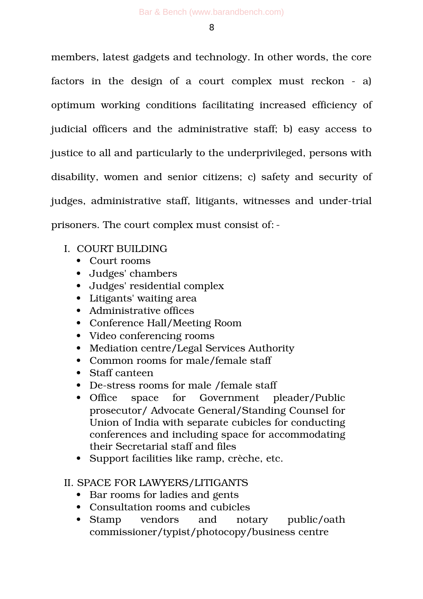members, latest gadgets and technology. In other words, the core factors in the design of a court complex must reckon  $-$  a) optimum working conditions facilitating increased efficiency of judicial officers and the administrative staff; b) easy access to justice to all and particularly to the underprivileged, persons with disability, women and senior citizens; c) safety and security of judges, administrative staff, litigants, witnesses and under-trial prisoners. The court complex must consist of:

- I. COURT BUILDING
	- Court rooms
	- Judges' chambers
	- Judges' residential complex
	- Litigants' waiting area
	- Administrative offices
	- Conference Hall/Meeting Room
	- Video conferencing rooms
	- Mediation centre/Legal Services Authority
	- Common rooms for male/female staff
	- Staff canteen
	- De-stress rooms for male /female staff
	- Office space for Government pleader/Public prosecutor/ Advocate General/Standing Counsel for Union of India with separate cubicles for conducting conferences and including space for accommodating their Secretarial staff and files
	- Support facilities like ramp, crèche, etc.

## II. SPACE FOR LAWYERS/LITIGANTS

- Bar rooms for ladies and gents
- Consultation rooms and cubicles
- Stamp vendors and notary public/oath commissioner/typist/photocopy/business centre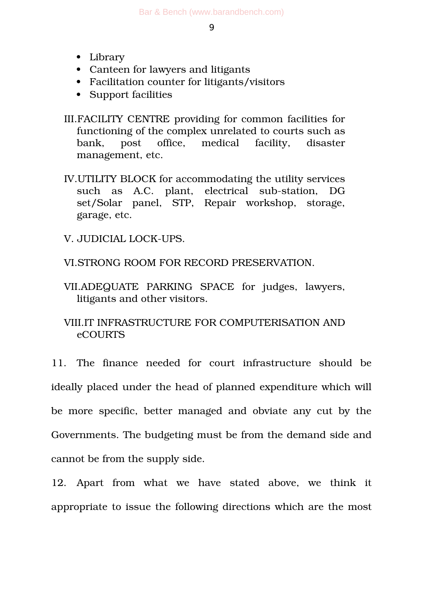- Library
- Canteen for lawyers and litigants
- Facilitation counter for litigants/visitors
- Support facilities

III.FACILITY CENTRE providing for common facilities for functioning of the complex unrelated to courts such as bank, post office, medical facility, disaster management, etc.

- IV.UTILITY BLOCK for accommodating the utility services such as A.C. plant, electrical sub-station, DG set/Solar panel, STP, Repair workshop, storage, garage, etc.
- V. JUDICIAL LOCK-UPS.

VI.STRONG ROOM FOR RECORD PRESERVATION.

VII.ADEQUATE PARKING SPACE for judges, lawyers, litigants and other visitors.

VIII.IT INFRASTRUCTURE FOR COMPUTERISATION AND eCOURTS

11. The finance needed for court infrastructure should be ideally placed under the head of planned expenditure which will be more specific, better managed and obviate any cut by the Governments. The budgeting must be from the demand side and cannot be from the supply side.

12. Apart from what we have stated above, we think it appropriate to issue the following directions which are the most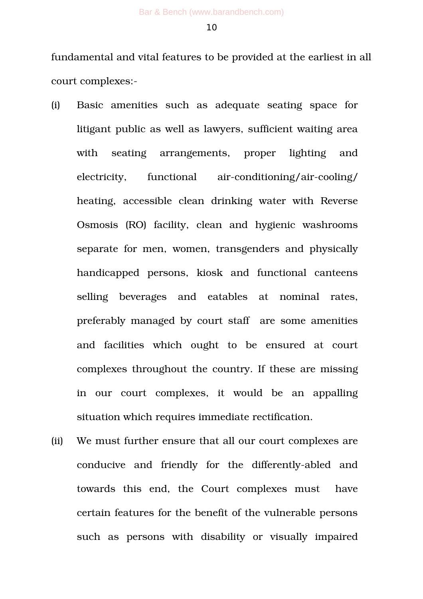fundamental and vital features to be provided at the earliest in all court complexes:

- (i) Basic amenities such as adequate seating space for litigant public as well as lawyers, sufficient waiting area with seating arrangements, proper lighting and electricity, functional air-conditioning/air-cooling/ heating, accessible clean drinking water with Reverse Osmosis (RO) facility, clean and hygienic washrooms separate for men, women, transgenders and physically handicapped persons, kiosk and functional canteens selling beverages and eatables at nominal rates, preferably managed by court staff are some amenities and facilities which ought to be ensured at court complexes throughout the country. If these are missing in our court complexes, it would be an appalling situation which requires immediate rectification.
- (ii) We must further ensure that all our court complexes are conducive and friendly for the differently-abled and towards this end, the Court complexes must have certain features for the benefit of the vulnerable persons such as persons with disability or visually impaired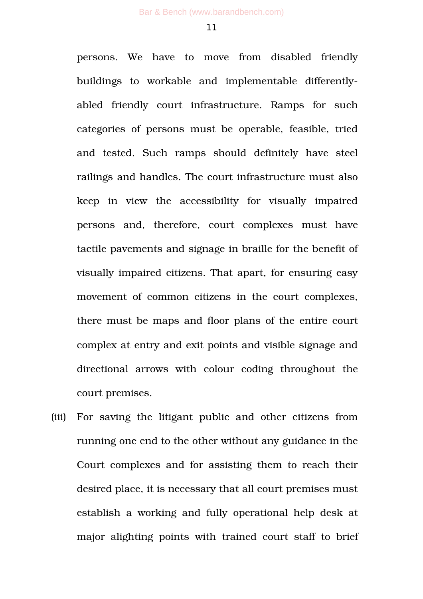persons. We have to move from disabled friendly buildings to workable and implementable differentlyabled friendly court infrastructure. Ramps for such categories of persons must be operable, feasible, tried and tested. Such ramps should definitely have steel railings and handles. The court infrastructure must also keep in view the accessibility for visually impaired persons and, therefore, court complexes must have tactile pavements and signage in braille for the benefit of visually impaired citizens. That apart, for ensuring easy movement of common citizens in the court complexes, there must be maps and floor plans of the entire court complex at entry and exit points and visible signage and directional arrows with colour coding throughout the court premises.

(iii) For saving the litigant public and other citizens from running one end to the other without any guidance in the Court complexes and for assisting them to reach their desired place, it is necessary that all court premises must establish a working and fully operational help desk at major alighting points with trained court staff to brief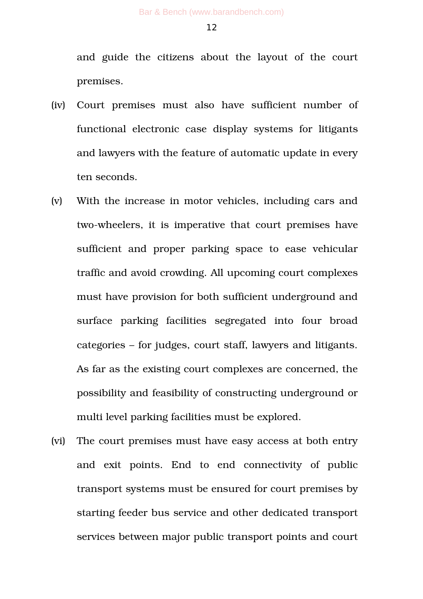and guide the citizens about the layout of the court premises.

- (iv) Court premises must also have sufficient number of functional electronic case display systems for litigants and lawyers with the feature of automatic update in every ten seconds.
- (v) With the increase in motor vehicles, including cars and two-wheelers, it is imperative that court premises have sufficient and proper parking space to ease vehicular traffic and avoid crowding. All upcoming court complexes must have provision for both sufficient underground and surface parking facilities segregated into four broad categories – for judges, court staff, lawyers and litigants. As far as the existing court complexes are concerned, the possibility and feasibility of constructing underground or multi level parking facilities must be explored.
- (vi) The court premises must have easy access at both entry and exit points. End to end connectivity of public transport systems must be ensured for court premises by starting feeder bus service and other dedicated transport services between major public transport points and court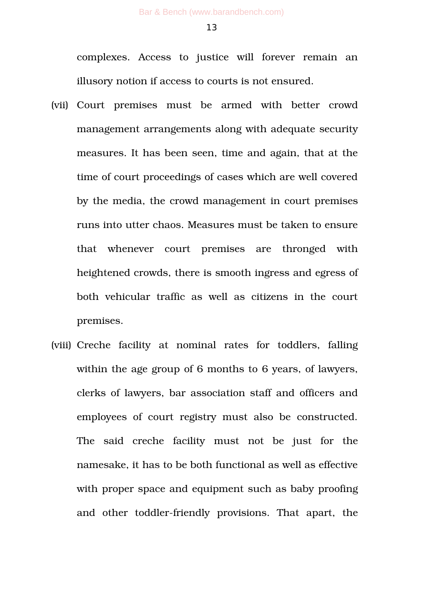complexes. Access to justice will forever remain an illusory notion if access to courts is not ensured.

- (vii) Court premises must be armed with better crowd management arrangements along with adequate security measures. It has been seen, time and again, that at the time of court proceedings of cases which are well covered by the media, the crowd management in court premises runs into utter chaos. Measures must be taken to ensure that whenever court premises are thronged with heightened crowds, there is smooth ingress and egress of both vehicular traffic as well as citizens in the court premises.
- (viii) Creche facility at nominal rates for toddlers, falling within the age group of 6 months to 6 years, of lawyers, clerks of lawyers, bar association staff and officers and employees of court registry must also be constructed. The said creche facility must not be just for the namesake, it has to be both functional as well as effective with proper space and equipment such as baby proofing and other toddler-friendly provisions. That apart, the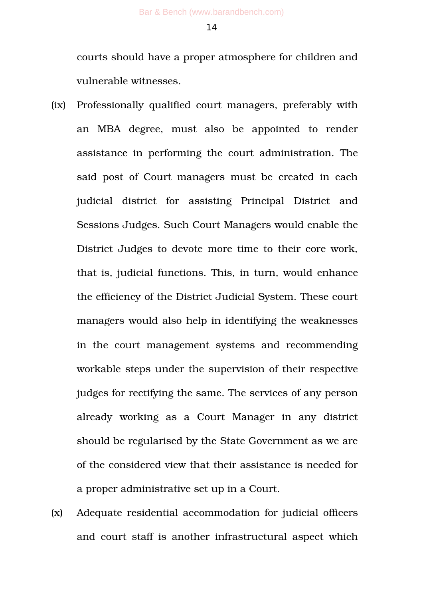courts should have a proper atmosphere for children and vulnerable witnesses.

- (ix) Professionally qualified court managers, preferably with an MBA degree, must also be appointed to render assistance in performing the court administration. The said post of Court managers must be created in each judicial district for assisting Principal District and Sessions Judges. Such Court Managers would enable the District Judges to devote more time to their core work, that is, judicial functions. This, in turn, would enhance the efficiency of the District Judicial System. These court managers would also help in identifying the weaknesses in the court management systems and recommending workable steps under the supervision of their respective judges for rectifying the same. The services of any person already working as a Court Manager in any district should be regularised by the State Government as we are of the considered view that their assistance is needed for a proper administrative set up in a Court.
- (x) Adequate residential accommodation for judicial officers and court staff is another infrastructural aspect which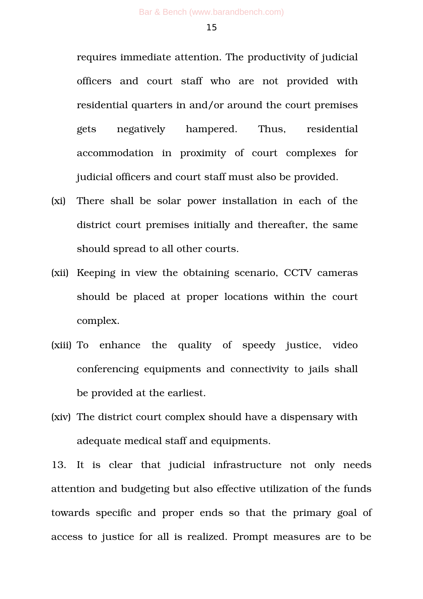requires immediate attention. The productivity of judicial officers and court staff who are not provided with residential quarters in and/or around the court premises gets negatively hampered. Thus, residential accommodation in proximity of court complexes for judicial officers and court staff must also be provided.

- (xi) There shall be solar power installation in each of the district court premises initially and thereafter, the same should spread to all other courts.
- (xii) Keeping in view the obtaining scenario, CCTV cameras should be placed at proper locations within the court complex.
- (xiii) To enhance the quality of speedy justice, video conferencing equipments and connectivity to jails shall be provided at the earliest.
- (xiv) The district court complex should have a dispensary with adequate medical staff and equipments.

13. It is clear that judicial infrastructure not only needs attention and budgeting but also effective utilization of the funds towards specific and proper ends so that the primary goal of access to justice for all is realized. Prompt measures are to be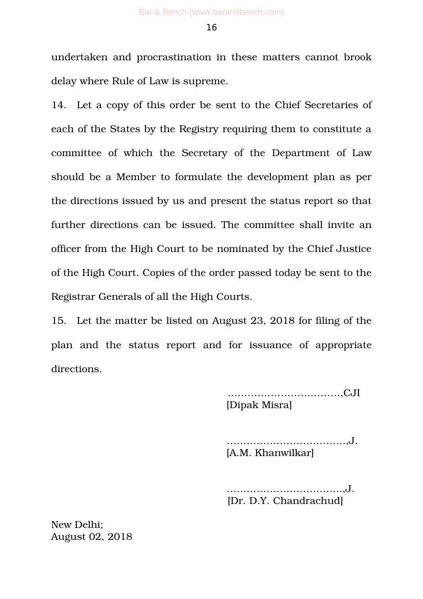undertaken and procrastination in these matters cannot brook delay where Rule of Law is supreme.

14. Let a copy of this order be sent to the Chief Secretaries of each of the States by the Registry requiring them to constitute a committee of which the Secretary of the Department of Law should be a Member to formulate the development plan as per the directions issued by us and present the status report so that further directions can be issued. The committee shall invite an officer from the High Court to be nominated by the Chief Justice of the High Court. Copies of the order passed today be sent to the Registrar Generals of all the High Courts.

15. Let the matter be listed on August 23, 2018 for filing of the plan and the status report and for issuance of appropriate directions.

> .……………………………,CJI [Dipak Misra]

 .……………………………..,J. [A.M. Khanwilkar]

 ……………………………..,J. [Dr. D.Y. Chandrachud]

New Delhi; August 02, 2018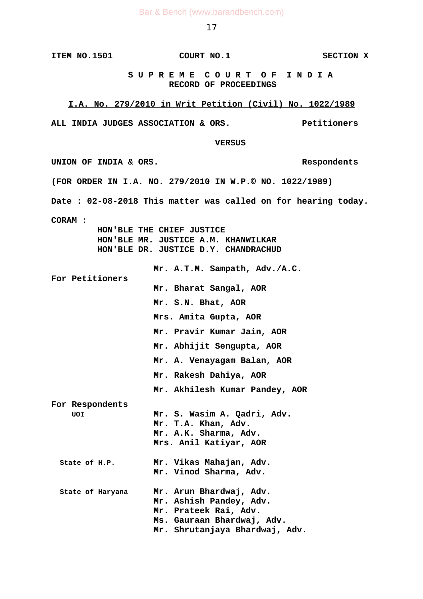#### **ITEM NO.1501 COURT NO.1 SECTION X**

 **S U P R E M E C O U R T O F I N D I A RECORD OF PROCEEDINGS**

#### **I.A. No. 279/2010 in Writ Petition (Civil) No. 1022/1989**

**ALL INDIA JUDGES ASSOCIATION & ORS. Petitioners**

 **VERSUS**

UNION OF INDIA & ORS. **(FOR ORDER IN I.A. NO. 279/2010 IN W.P.© NO. 1022/1989) Date : 02-08-2018 This matter was called on for hearing today. CORAM : HON'BLE THE CHIEF JUSTICE HON'BLE MR. JUSTICE A.M. KHANWILKAR HON'BLE DR. JUSTICE D.Y. CHANDRACHUD Mr. A.T.M. Sampath, Adv./A.C. For Petitioners Mr. Bharat Sangal, AOR Mr. S.N. Bhat, AOR Mrs. Amita Gupta, AOR Mr. Pravir Kumar Jain, AOR Mr. Abhijit Sengupta, AOR Mr. A. Venayagam Balan, AOR Mr. Rakesh Dahiya, AOR Mr. Akhilesh Kumar Pandey, AOR For Respondents UOI Mr. S. Wasim A. Qadri, Adv. Mr. T.A. Khan, Adv. Mr. A.K. Sharma, Adv. Mrs. Anil Katiyar, AOR State of H.P. Mr. Vikas Mahajan, Adv. Mr. Vinod Sharma, Adv. State of Haryana Mr. Arun Bhardwaj, Adv. Mr. Ashish Pandey, Adv. Mr. Prateek Rai, Adv. Ms. Gauraan Bhardwaj, Adv. Mr. Shrutanjaya Bhardwaj, Adv.**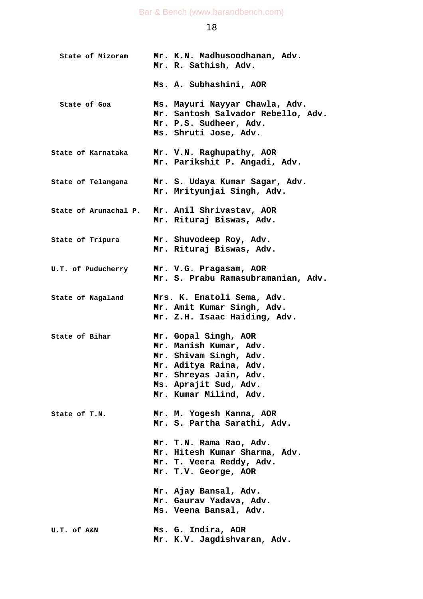| State of Mizoram          | Mr. K.N. Madhusoodhanan, Adv.<br>Mr. R. Sathish, Adv.                                                                                                                           |
|---------------------------|---------------------------------------------------------------------------------------------------------------------------------------------------------------------------------|
|                           | Ms. A. Subhashini, AOR                                                                                                                                                          |
| State of Goa              | Ms. Mayuri Nayyar Chawla, Adv.<br>Mr. Santosh Salvador Rebello, Adv.<br>Mr. P.S. Sudheer, Adv.<br>Ms. Shruti Jose, Adv.                                                         |
| State of Karnataka        | Mr. V.N. Raghupathy, AOR<br>Mr. Parikshit P. Angadi, Adv.                                                                                                                       |
| <b>State of Telangana</b> | Mr. S. Udaya Kumar Sagar, Adv.<br>Mr. Mrityunjai Singh, Adv.                                                                                                                    |
| State of Arunachal P.     | Mr. Anil Shrivastav, AOR<br>Mr. Rituraj Biswas, Adv.                                                                                                                            |
| State of Tripura          | Mr. Shuvodeep Roy, Adv.<br>Mr. Rituraj Biswas, Adv.                                                                                                                             |
| <b>U.T. of Puducherry</b> | Mr. V.G. Pragasam, AOR<br>Mr. S. Prabu Ramasubramanian, Adv.                                                                                                                    |
| <b>State of Nagaland</b>  | Mrs. K. Enatoli Sema, Adv.<br>Mr. Amit Kumar Singh, Adv.<br>Mr. Z.H. Isaac Haiding, Adv.                                                                                        |
| State of Bihar            | Mr. Gopal Singh, AOR<br>Mr. Manish Kumar, Adv.<br>Mr. Shivam Singh, Adv.<br>Mr. Aditya Raina, Adv.<br>Mr. Shreyas Jain, Adv.<br>Ms. Aprajit Sud, Adv.<br>Mr. Kumar Milind, Adv. |
| State of T.N.             | Mr. M. Yogesh Kanna, AOR<br>Mr. S. Partha Sarathi, Adv.                                                                                                                         |
|                           | Mr. T.N. Rama Rao, Adv.<br>Mr. Hitesh Kumar Sharma, Adv.<br>Mr. T. Veera Reddy, Adv.<br>Mr. T.V. George, AOR                                                                    |
|                           | Mr. Ajay Bansal, Adv.<br>Mr. Gaurav Yadava, Adv.<br>Ms. Veena Bansal, Adv.                                                                                                      |
| U.T. of A&N               | Ms. G. Indira, AOR<br>Mr. K.V. Jagdishvaran, Adv.                                                                                                                               |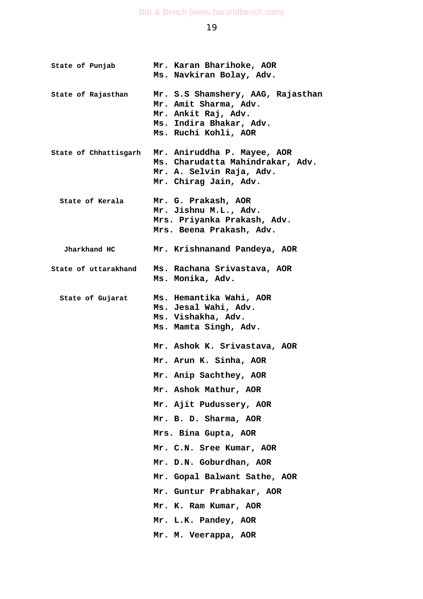| State of Punjab       | Mr. Karan Bharihoke, AOR<br>Ms. Navkiran Bolay, Adv.                                                                                 |
|-----------------------|--------------------------------------------------------------------------------------------------------------------------------------|
| State of Rajasthan    | Mr. S.S Shamshery, AAG, Rajasthan<br>Mr. Amit Sharma, Adv.<br>Mr. Ankit Raj, Adv.<br>Ms. Indira Bhakar, Adv.<br>Ms. Ruchi Kohli, AOR |
| State of Chhattisgarh | Mr. Aniruddha P. Mayee, AOR<br>Ms. Charudatta Mahindrakar, Adv.<br>Mr. A. Selvin Raja, Adv.<br>Mr. Chirag Jain, Adv.                 |
| State of Kerala       | Mr. G. Prakash, AOR<br>Mr. Jishnu M.L., Adv.<br>Mrs. Priyanka Prakash, Adv.<br>Mrs. Beena Prakash, Adv.                              |
| Jharkhand HC          | Mr. Krishnanand Pandeya, AOR                                                                                                         |
| State of uttarakhand  | Ms. Rachana Srivastava, AOR<br>Ms. Monika, Adv.                                                                                      |
| State of Gujarat      | Ms. Hemantika Wahi, AOR<br>Ms. Jesal Wahi, Adv.<br>Ms. Vishakha, Adv.<br>Ms. Mamta Singh, Adv.                                       |
|                       | Mr. Ashok K. Srivastava, AOR                                                                                                         |
|                       | Mr. Arun K. Sinha, AOR                                                                                                               |
|                       | Mr. Anip Sachthey, AOR                                                                                                               |
|                       | Mr. Ashok Mathur, AOR                                                                                                                |
|                       | Mr. Ajit Pudussery, AOR                                                                                                              |
|                       | Mr. B. D. Sharma, AOR                                                                                                                |
|                       | Mrs. Bina Gupta, AOR                                                                                                                 |
|                       | Mr. C.N. Sree Kumar, AOR                                                                                                             |
|                       | Mr. D.N. Goburdhan, AOR                                                                                                              |
|                       | Mr. Gopal Balwant Sathe, AOR                                                                                                         |
|                       | Mr. Guntur Prabhakar, AOR                                                                                                            |
|                       | Mr. K. Ram Kumar, AOR                                                                                                                |
|                       | Mr. L.K. Pandey, AOR                                                                                                                 |
|                       | Mr. M. Veerappa, AOR                                                                                                                 |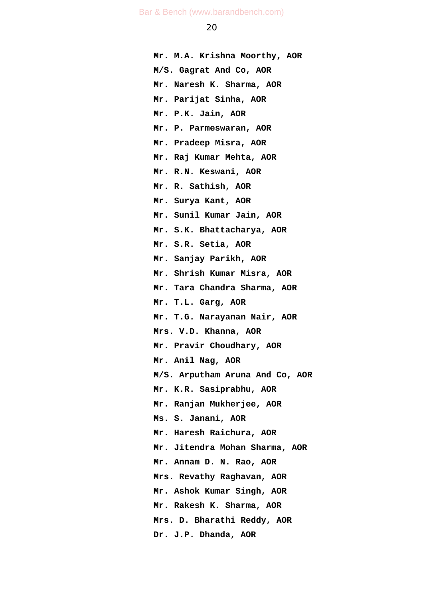**Mr. M.A. Krishna Moorthy, AOR M/S. Gagrat And Co, AOR Mr. Naresh K. Sharma, AOR Mr. Parijat Sinha, AOR Mr. P.K. Jain, AOR Mr. P. Parmeswaran, AOR Mr. Pradeep Misra, AOR Mr. Raj Kumar Mehta, AOR Mr. R.N. Keswani, AOR Mr. R. Sathish, AOR Mr. Surya Kant, AOR Mr. Sunil Kumar Jain, AOR Mr. S.K. Bhattacharya, AOR Mr. S.R. Setia, AOR Mr. Sanjay Parikh, AOR Mr. Shrish Kumar Misra, AOR Mr. Tara Chandra Sharma, AOR Mr. T.L. Garg, AOR Mr. T.G. Narayanan Nair, AOR Mrs. V.D. Khanna, AOR Mr. Pravir Choudhary, AOR Mr. Anil Nag, AOR M/S. Arputham Aruna And Co, AOR Mr. K.R. Sasiprabhu, AOR Mr. Ranjan Mukherjee, AOR Ms. S. Janani, AOR Mr. Haresh Raichura, AOR Mr. Jitendra Mohan Sharma, AOR Mr. Annam D. N. Rao, AOR Mrs. Revathy Raghavan, AOR Mr. Ashok Kumar Singh, AOR Mr. Rakesh K. Sharma, AOR Mrs. D. Bharathi Reddy, AOR Dr. J.P. Dhanda, AOR**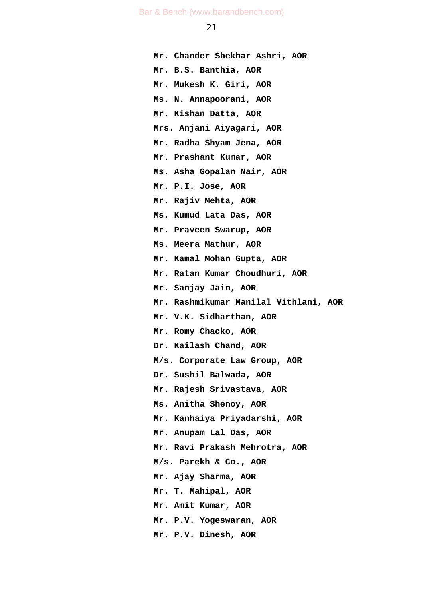**Mr. Chander Shekhar Ashri, AOR Mr. B.S. Banthia, AOR Mr. Mukesh K. Giri, AOR Ms. N. Annapoorani, AOR Mr. Kishan Datta, AOR Mrs. Anjani Aiyagari, AOR Mr. Radha Shyam Jena, AOR Mr. Prashant Kumar, AOR Ms. Asha Gopalan Nair, AOR Mr. P.I. Jose, AOR Mr. Rajiv Mehta, AOR Ms. Kumud Lata Das, AOR Mr. Praveen Swarup, AOR Ms. Meera Mathur, AOR Mr. Kamal Mohan Gupta, AOR Mr. Ratan Kumar Choudhuri, AOR Mr. Sanjay Jain, AOR Mr. Rashmikumar Manilal Vithlani, AOR Mr. V.K. Sidharthan, AOR Mr. Romy Chacko, AOR Dr. Kailash Chand, AOR M/s. Corporate Law Group, AOR Dr. Sushil Balwada, AOR Mr. Rajesh Srivastava, AOR Ms. Anitha Shenoy, AOR Mr. Kanhaiya Priyadarshi, AOR Mr. Anupam Lal Das, AOR Mr. Ravi Prakash Mehrotra, AOR M/s. Parekh & Co., AOR Mr. Ajay Sharma, AOR Mr. T. Mahipal, AOR Mr. Amit Kumar, AOR Mr. P.V. Yogeswaran, AOR Mr. P.V. Dinesh, AOR**